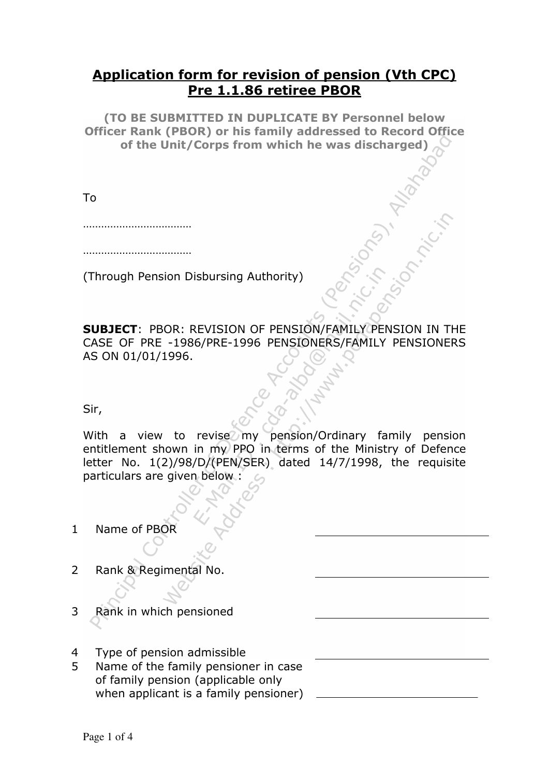## Application form for revision of pension (Vth CPC) Pre 1.1.86 retiree PBOR

(TO BE SUBMITTED IN DUPLICATE BY Personnel below Officer Rank (PBOR) or his family addressed to Record Office of the Unit/Corps from which he was discharged)

To

………………………………

 $\mathcal{L}_{\mathcal{M}}$  . The contract of the contract of the contract of the contract of the contract of the contract of

(Through Pension Disbursing Authority)

SUBJECT: PBOR: REVISION OF PENSION/FAMILY PENSION IN THE CASE OF PRE -1986/PRE-1996 PENSIONERS/FAMILY PENSIONERS AS ON 01/01/1996.

Sir,

With a view to revise my pension/Ordinary family pension entitlement shown in my PPO in terms of the Ministry of Defence letter No. 1(2)/98/D/(PEN/SER) dated 14/7/1998, the requisite particulars are given below :

1 Name of PBOR

- 2 Rank & Regimental No.
- 3 Rank in which pensioned
- 4 Type of pension admissible
- 5 Name of the family pensioner in case of family pension (applicable only when applicant is a family pensioner)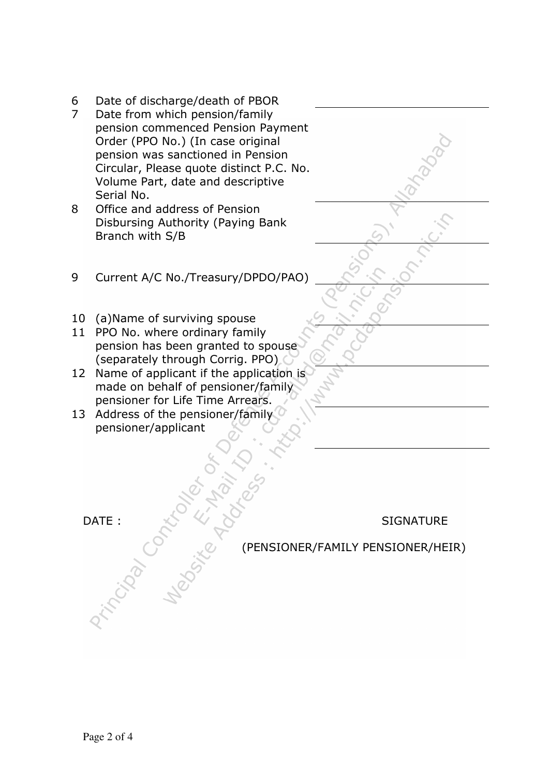- 6 Date of discharge/death of PBOR
- 7 Date from which pension/family pension commenced Pension Payment Order (PPO No.) (In case original pension was sanctioned in Pension Circular, Please quote distinct P.C. No. Volume Part, date and descriptive Serial No.
- 8 Office and address of Pension Disbursing Authority (Paying Bank Branch with S/B
- 9 Current A/C No./Treasury/DPDO/PAO)
- 10 (a)Name of surviving spouse
- 11 PPO No. where ordinary family pension has been granted to spouse (separately through Corrig. PPO)
- 12 Name of applicant if the application is made on behalf of pensioner/family pensioner for Life Time Arrears.
- 13 Address of the pensioner/family pensioner/applicant

DATE : SIGNATURE SIGNATURE (PENSIONER/FAMILY PENSIONER/HEIR)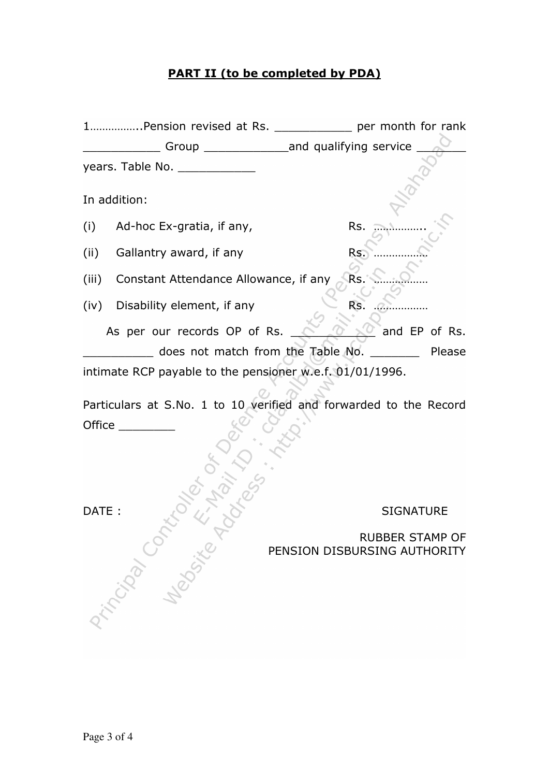## PART II (to be completed by PDA)

|       | 1Pension revised at Rs. ______________ per month for rank         |                                                     |  |
|-------|-------------------------------------------------------------------|-----------------------------------------------------|--|
|       |                                                                   | Group _______________________and qualifying service |  |
|       |                                                                   |                                                     |  |
|       | In addition:                                                      |                                                     |  |
|       | $(i)$ Ad-hoc Ex-gratia, if any,                                   | Rs.                                                 |  |
| (ii)  | Gallantry award, if any                                           | Rs.                                                 |  |
| (iii) | Constant Attendance Allowance, if any                             | Rs.                                                 |  |
| (iv)  | Disability element, if any                                        | Rs.                                                 |  |
|       | As per our records OP of Rs.                                      | and EP of Rs.                                       |  |
|       | does not match from the Table No.                                 | Please                                              |  |
|       | intimate RCP payable to the pensioner w.e.f. 01/01/1996.          |                                                     |  |
|       | Particulars at S No. 1 to 10 verified and forwarded to the Record |                                                     |  |

Particulars at S.No. 1 to 10 verified and forwarded to the Record Office \_\_\_\_\_\_\_\_\_

## DATE : SIGNATURE

RUBBER STAMP OF PENSION DISBURSING AUTHORITY